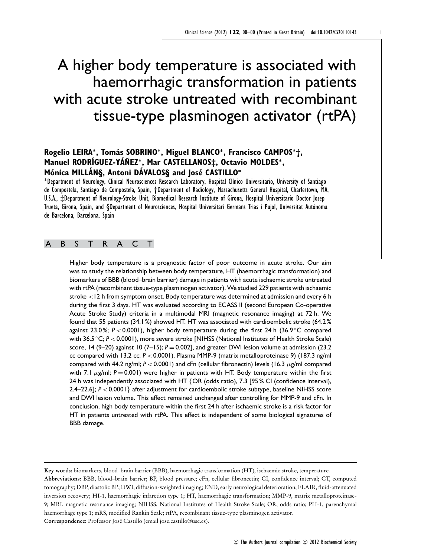# A higher body temperature is associated with haemorrhagic transformation in patients with acute stroke untreated with recombinant tissue-type plasminogen activator (rtPA)

# **Rogelio LEIRA**∗**, Tomas SOBRINO ´** <sup>∗</sup>**, Miguel BLANCO**∗**, Francisco CAMPOS**∗**†, Manuel RODR´IGUEZ-YA´NEZ ˜** <sup>∗</sup>**, Mar CASTELLANOS‡, Octavio MOLDES**∗**, Mónica MILLÁNS, Antoni DÁVALOSS and José CASTILLO<sup>\*</sup>**

<sup>∗</sup>Department of Neurology, Clinical Neurosciences Research Laboratory, Hospital Cl´ınico Universitario, University of Santiago de Compostela, Santiago de Compostela, Spain, †Department of Radiology, Massachusetts General Hospital, Charlestown, MA, U.S.A., ‡Department of Neurology-Stroke Unit, Biomedical Research Institute of Girona, Hospital Universitario Doctor Josep Trueta, Girona, Spain, and §Department of Neurosciences, Hospital Universitari Germans Trias i Pujol, Universitat Autonoma ´ de Barcelona, Barcelona, Spain

## ABSTRACT

Higher body temperature is a prognostic factor of poor outcome in acute stroke. Our aim was to study the relationship between body temperature, HT (haemorrhagic transformation) and biomarkers of BBB (blood–brain barrier) damage in patients with acute ischaemic stroke untreated with rtPA (recombinant tissue-type plasminogen activator). We studied 229 patients with ischaemic stroke <12 h from symptom onset. Body temperature was determined at admission and every 6 h during the first 3 days. HT was evaluated according to ECASS II (second European Co-operative Acute Stroke Study) criteria in a multimodal MRI (magnetic resonance imaging) at 72 h. We found that 55 patients (34.1 %) showed HT. HT was associated with cardioembolic stroke (64.2 % against 23.0 %; *P* < 0.0001), higher body temperature during the first 24 h (36.9 ◦C compared with 36.5 °C; *P* < 0.0001), more severe stroke [NIHSS (National Institutes of Health Stroke Scale) score, 14 (9–20) against 10 (7–15);  $P = 0.002$ ], and greater DWI lesion volume at admission (23.2) cc compared with 13.2 cc; *P* < 0.0001). Plasma MMP-9 (matrix metalloproteinase 9) (187.3 ng/ml compared with 44.2 ng/ml;  $P < 0.0001$ ) and cFn (cellular fibronectin) levels (16.3  $\mu$ g/ml compared with 7.1  $\mu$ g/ml;  $P = 0.001$ ) were higher in patients with HT. Body temperature within the first 24 h was independently associated with HT {OR (odds ratio), 7.3 [95% CI (confidence interval), 2.4–22.6]; *P* < 0.0001} after adjustment for cardioembolic stroke subtype, baseline NIHSS score and DWI lesion volume. This effect remained unchanged after controlling for MMP-9 and cFn. In conclusion, high body temperature within the first 24 h after ischaemic stroke is a risk factor for HT in patients untreated with rtPA. This effect is independent of some biological signatures of BBB damage.

**Key words:** biomarkers, blood–brain barrier (BBB), haemorrhagic transformation (HT), ischaemic stroke, temperature.

**Abbreviations:** BBB, blood–brain barrier; BP, blood pressure; cFn, cellular fibronectin; CI, confidence interval; CT, computed tomography; DBP, diastolic BP; DWI, diffusion-weighted imaging; END, early neurological deterioration; FLAIR, fluid-attenuated inversion recovery; HI-1, haemorrhagic infarction type 1; HT, haemorrhagic transformation; MMP-9, matrix metalloproteinase-9; MRI, magnetic resonance imaging; NIHSS, National Institutes of Health Stroke Scale; OR, odds ratio; PH-1, parenchymal haemorrhage type 1; mRS, modified Rankin Scale; rtPA, recombinant tissue-type plasminogen activator. **Correspondence:** Professor Jose Castillo (email jose.castillo@usc.es). ´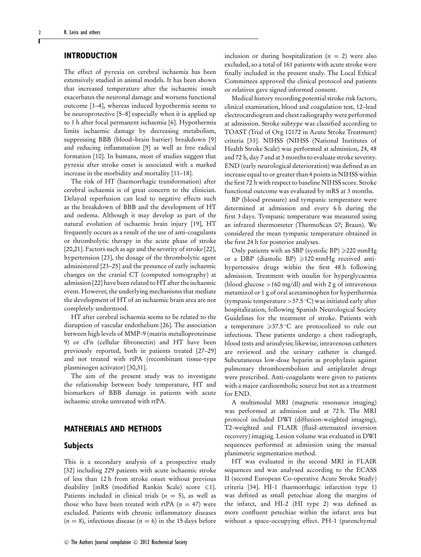### **INTRODUCTION**

The effect of pyrexia on cerebral ischaemia has been extensively studied in animal models. It has been shown that increased temperature after the ischaemic insult exacerbates the neuronal damage and worsens functional outcome [\[1–](#page-5-0)[4\]](#page-5-1), whereas induced hypothermia seems to be neuroprotective [\[5–](#page-5-2)[8\]](#page-5-3) especially when it is applied up to 1 h after focal permanent ischaemia [\[6\]](#page-5-4). Hypothermia limits ischaemic damage by decreasing metabolism, suppressing BBB (blood–brain barrier) breakdown [\[9\]](#page-5-5) and reducing inflammation [\[9\]](#page-5-5) as well as free radical formation [\[10\]](#page-5-6). In humans, most of studies suggest that pyrexia after stroke onset is associated with a marked increase in the morbidity and mortality [\[11–](#page-5-7)[18\]](#page-6-0).

The risk of HT (haemorrhagic transformation) after cerebral ischaemia is of great concern to the clinician. Delayed reperfusion can lead to negative effects such as the breakdown of BBB and the development of HT and oedema. Although it may develop as part of the natural evolution of ischaemic brain injury [\[19\]](#page-6-1), HT frequently occurs as a result of the use of anti-coagulants or thrombolytic therapy in the acute phase of stroke [\[20,](#page-6-2)21]. Factors such as age and the severity of stroke [\[22\]](#page-6-3), hypertension [\[23\]](#page-6-4), the dosage of the thrombolytic agent administered [\[23–](#page-6-4)[25\]](#page-6-5) and the presence of early ischaemic changes on the cranial CT (computed tomography) at admission [\[22\]](#page-6-3) have been related to HT after the ischaemic event. However, the underlying mechanisms that mediate the development of HT of an ischaemic brain area are not completely understood.

HT after cerebral ischaemia seems to be related to the disruption of vascular endothelium [\[26\]](#page-6-6). The association between high levels of MMP-9 (matrix metalloproteinase 9) or cFn (cellular fibronectin) and HT have been previously reported, both in patients treated [\[27](#page-6-7)[–29\]](#page-6-8) and not treated with rtPA (recombinant tissue-type plasminogen activator) [\[30,](#page-6-9)[31\]](#page-6-10).

The aim of the present study was to investigate the relationship between body temperature, HT and biomarkers of BBB damage in patients with acute ischaemic stroke untreated with rtPA.

#### **MATHERIALS AND METHODS**

#### **Subjects**

This is a secondary analysis of a prospective study [\[32\]](#page-6-11) including 229 patients with acute ischaemic stroke of less than 12 h from stroke onset without previous disability [mRS (modified Rankin Scale) score  $\leq 1$ ]. Patients included in clinical trials  $(n = 5)$ , as well as those who have been treated with rtPA  $(n = 47)$  were excluded. Patients with chronic inflammatory diseases  $(n = 8)$ , infectious disease  $(n = 6)$  in the 15 days before inclusion or during hospitalization  $(n = 2)$  were also excluded, so a total of 161 patients with acute stroke were finally included in the present study. The Local Ethical Committees approved the clinical protocol and patients or relatives gave signed informed consent.

Medical history recording potential stroke risk factors, clinical examination, blood and coagulation test, 12–lead electrocardiogram and chest radiography were performed at admission. Stroke subtype was classified according to TOAST (Trial of Org 10172 in Acute Stroke Treatment) criteria [\[33\]](#page-6-12). NIHSS (NIHSS (National Institutes of Health Stroke Scale) was performed at admission, 24, 48 and 72 h, day 7 and at 3 months to evaluate stroke severity. END (early neurological deterioration) was defined as an increase equal to or greater than 4 points in NIHSS within the first 72 h with respect to baseline NIHSS score. Stroke functional outcome was evaluated by mRS at 3 months.

BP (blood pressure) and tympanic temperature were determined at admission and every 6 h during the first 3 days. Tympanic temperature was measured using an infrared thermometer (ThermoScan 07; Braun). We considered the mean tympanic temperature obtained in the first 24 h for posterior analyses.

Only patients with an SBP (systolic BP)  $\geq$  220 mmHg or a DBP (diastolic BP)  $\geq 120$  mmHg received antihypertensive drugs within the first 48 h following admission. Treatment with insulin for hyperglycaemia (blood glucose >160 mg/dl) and with 2 g of intravenous metamizol or 1 g of oral acetaminophen for hyperthermia (tympanic temperature >37.5◦C) was initiated early after hospitalization, following Spanish Neurological Society Guidelines for the treatment of stroke. Patients with a temperature  $\geq 37.5$  °C are protocolized to rule out infections. These patients undergo a chest radiograph, blood tests and urinalysis; likewise, intravenous catheters are reviewed and the urinary catheter is changed. Subcutaneous low-dose heparin as prophylaxis against pulmonary thromboembolism and antiplatelet drugs were prescribed. Anti-coagulants were given to patients with a major cardioembolic source but not as a treatment for END.

A multimodal MRI (magnetic resonance imaging) was performed at admission and at 72 h. The MRI protocol included DWI (diffusion-weighted imaging), T2-weighted and FLAIR (fluid-attenuated inversion recovery) imaging. Lesion volume was evaluated in DWI sequences performed at admission using the manual planimetric segmentation method.

HT was evaluated in the second MRI in FLAIR sequences and was analysed according to the ECASS II (second European Co-operative Acute Stroke Study) criteria [\[34\]](#page-6-13). HI-1 (haemorrhagic infarction type 1) was defined as small petechiae along the margins of the infarct, and HI-2 (HI type 2) was defined as more confluent petechiae within the infarct area but without a space-occupying effect. PH-1 (parenchymal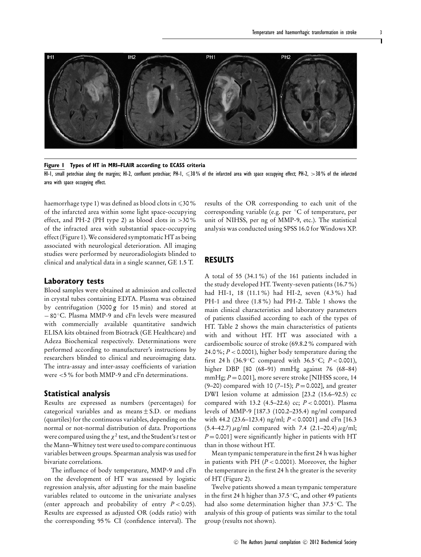

<span id="page-2-0"></span>

#### **Figure 1 Types of HT in MRI–FLAIR according to ECASS criteria**

HI-1, small petechiae along the margins; HI-2, confluent petechiae; PH-1,  $\leqslant$ 30% of the infarcted area with space occupying effect; PH-2, >30% of the infarcted area with space occupying effect.

haemorrhage type 1) was defined as blood clots in  $\leqslant$  30 % of the infarcted area within some light space-occupying effect, and PH-2 (PH type 2) as blood clots in >30% of the infracted area with substantial space-occupying effect [\(Figure 1\)](#page-2-0).We considered symptomatic HT as being associated with neurological deterioration. All imaging studies were performed by neuroradiologists blinded to clinical and analytical data in a single scanner, GE 1.5 T.

#### **Laboratory tests**

Blood samples were obtained at admission and collected in crystal tubes containing EDTA. Plasma was obtained by centrifugation (3000 *g* for 15 min) and stored at − 80 ◦C. Plasma MMP-9 and cFn levels were measured with commercially available quantitative sandwich ELISA kits obtained from Biotrack (GE Healthcare) and Adeza Biochemical respectively. Determinations were performed according to manufacturer's instructions by researchers blinded to clinical and neuroimaging data. The intra-assay and inter-assay coefficients of variation were <5% for both MMP-9 and cFn determinations.

#### **Statistical analysis**

Results are expressed as numbers (percentages) for categorical variables and as means  $\pm$  S.D. or medians (quartiles) for the continuous variables, depending on the normal or not-normal distribution of data. Proportions were compared using the  $\chi^2$  test, and the Student's *t* test or the Mann–Whitney test were used to compare continuous variables between groups. Spearman analysis was used for bivariate correlations.

The influence of body temperature, MMP-9 and cFn on the development of HT was assessed by logistic regression analysis, after adjusting for the main baseline variables related to outcome in the univariate analyses (enter approach and probability of entry  $P < 0.05$ ). Results are expressed as adjusted OR (odds ratio) with the corresponding 95% CI (confidence interval). The results of the OR corresponding to each unit of the corresponding variable (e.g. per ◦C of temperature, per unit of NIHSS, per ng of MMP-9, etc.). The statistical analysis was conducted using SPSS 16.0 for Windows XP.

#### **RESULTS**

A total of 55 (34.1%) of the 161 patients included in the study developed HT. Twenty-seven patients (16.7%) had HI-1, 18 (11.1%) had HI-2, seven (4.3%) had PH-1 and three (1.8%) had PH-2. [Table 1](#page-3-0) shows the main clinical characteristics and laboratory parameters of patients classified according to each of the types of HT. [Table 2](#page-3-1) shows the main characteristics of patients with and without HT. HT was associated with a cardioembolic source of stroke (69.8.2% compared with 24.0%;  $P < 0.0001$ ), higher body temperature during the first 24 h (36.9 °C compared with 36.5 °C;  $P < 0.001$ ), higher DBP [80 (68–91) mmHg against 76 (68–84) mmHg; *P* = 0.001], more severe stroke [NIHSS score, 14 (9–20) compared with 10 (7–15); *P* = 0.002], and greater DWI lesion volume at admission [23.2 (15.6–92.5) cc compared with 13.2 (4.5–22.6) cc; *P* < 0.0001). Plasma levels of MMP-9 [187.3 (100.2–235.4) ng/ml compared with 44.2 (23.6–123.4) ng/ml; *P* < 0.0001] and cFn [16.3  $(5.4–42.7) \mu$ g/ml compared with 7.4 (2.1–20.4)  $\mu$ g/ml;  $P = 0.001$ ] were significantly higher in patients with HT than in those without HT.

Mean tympanic temperature in the first 24 h was higher in patients with PH  $(P < 0.0001)$ . Moreover, the higher the temperature in the first 24 h the greater is the severity of HT [\(Figure 2\)](#page-4-0).

Twelve patients showed a mean tympanic temperature in the first 24 h higher than 37.5 ◦C, and other 49 patients had also some determination higher than 37.5◦C. The analysis of this group of patients was similar to the total group (results not shown).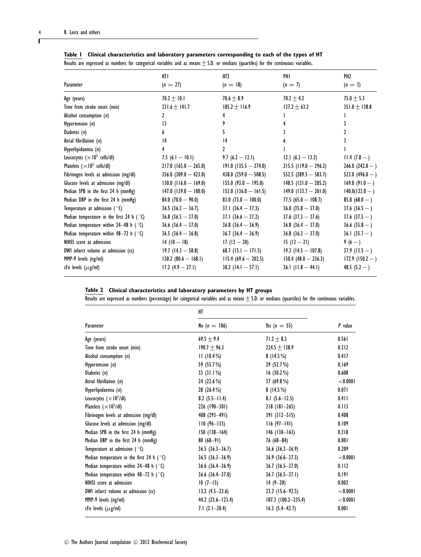| Parameter                                           | HTI<br>$(n = 27)$         | III2<br>$(n = 18)$      | PHI<br>$(n = 7)$        | PH <sub>2</sub><br>$(n = 3)$ |
|-----------------------------------------------------|---------------------------|-------------------------|-------------------------|------------------------------|
| Age (years)                                         | 70.2 $\pm$ 10.1           | $70.6 \pm 8.9$          | 70.2 $\pm$ 4.2          | 75.0 $\pm$ 5.3               |
| Time from stroke onset (min)                        | $231.6 \pm 141.7$         | $185.2 \pm 116.9$       | $137.2 \pm 63.2$        | $351.0 \pm 138.8$            |
| Alcohol consumption $(n)$                           | 2                         |                         |                         |                              |
| Hypertension (n)                                    | $\overline{1}$            | 9                       |                         |                              |
| Diabetes $(n)$                                      | 6                         | 5.                      |                         | 2                            |
| Atrial fibrillation $(n)$                           | 4                         | 4                       | 6                       |                              |
| Hyperlipidaemia (n)                                 | 4                         | 2                       |                         |                              |
| Leucocytes ( $\times$ 10 <sup>3</sup> cells/dl)     | 7.5 $(6.1 - 10.1)$        | 9.7 $(6.2 - 12.1)$      | $12.1(6.3 - 13.2)$      | $11.4(7.8-)$                 |
| Platelets ( $\times$ 10 <sup>3</sup> cells/dl)      | $217.0$ (165.0 - 265.0)   | $191.0$ (135.5 – 274.0) | $215.5$ (119.0 - 296.2) | $266.0(242.0-)$              |
| Fibrinogen levels at admission (mg/dl)              | $356.0$ $(309.0 - 423.0)$ | 438.0 $(259.0 - 508.5)$ | $552.5 (289.5 - 583.7)$ | 523.0 $(496.0 - )$           |
| Glucose levels at admission (mg/dl)                 | $130.0$ (116.0 - 169.0)   | $155.0 (93.0 - 195.0)$  | $148.5$ (121.0 - 205.2) | $169.0(91.0-)$               |
| Median SPB in the first 24 h (mmHg)                 | $147.0$ (139.0 - 180.0)   | $153.0$ (136.0 - 161.5) | $149.0$ (133.7 - 201.0) | $140.0(123.0 - )$            |
| Median DBP in the first 24 h (mmHg)                 | 84.0 $(70.0 - 90.0)$      | 83.0 $(73.0 - 100.0)$   | 77.5 $(65.0 - 108.7)$   | 85.0 $(68.0 - )$             |
| Temperature at admission ( $\degree$ C)             | $36.5$ $(36.3 - 36.7)$    | $37.1(36.4 - 37.3)$     | $36.0(35.8 - 37.0)$     | $37.6(36.5-)$                |
| Median temperature in the first 24 h ( $\degree$ C) | $36.8$ $(36.5 - 37.0)$    | $37.1(36.6 - 37.2)$     | $37.6$ $(37.3 - 37.6)$  | $37.6(37.5-)$                |
| Median temperature within 24–48 h ( $\degree$ C)    | $36.6$ $(36.4 - 37.0)$    | $36.8$ $(36.4 - 36.9)$  | $36.8$ $(36.4 - 37.0)$  | $36.6$ (35.8 – )             |
| Median temperature within $48-72$ h ( $\degree$ C)  | $36.5$ $(36.4 - 36.8)$    | $36.7(36.4 - 36.9)$     | $36.8$ $(36.3 - 37.0)$  | 36.1 $(35.7 - )$             |
| NIHSS score at admission                            | $14(10-18)$               | $17(12-20)$             | $15(12-21)$             | 9 (6 – )                     |
| DWI infarct volume at admission (cc)                | $19.7(14.3 - 58.8)$       | 68.7 (15.1 $-$ 171.5)   | $19.3(14.5 - 107.8)$    | $37.9(13.5-)$                |
| MMP-9 levels (ng/ml)                                | $130.2 (80.6 - 168.1)$    | $115.4(69.6 - 202.5)$   | $150.4 (48.0 - 236.3)$  | $172.9(150.2-)$              |
| cFn levels $(\mu$ g/ml)                             | $17.2$ $(4.9 - 27.1)$     | 30.2 $(14.1 - 57.1)$    | 36.1 $(11.8 - 44.1)$    | 48.5 $(5.2 - )$              |
|                                                     |                           |                         |                         |                              |

<span id="page-3-0"></span>**Table 1 Clinical characteristics and laboratory parameters corresponding to each of the types of HT**

| Results are expressed as numbers for categorical variables and as means $\pm$ S.D. or medians (quartiles) for the continuous variables. |  |  |  |  |  |  |  |  |
|-----------------------------------------------------------------------------------------------------------------------------------------|--|--|--|--|--|--|--|--|
|                                                                                                                                         |  |  |  |  |  |  |  |  |

|  |  | Table 2 Clinical characteristics and laboratory parameters by HT groups |  |  |  |  |  |
|--|--|-------------------------------------------------------------------------|--|--|--|--|--|
|--|--|-------------------------------------------------------------------------|--|--|--|--|--|

<span id="page-3-1"></span>Results are expressed as numbers (percentage) for categorical variables and as means  $\pm$  S.D. or medians (quartiles) for the continuous variables.

|                                                     | HT                     |                        |          |  |
|-----------------------------------------------------|------------------------|------------------------|----------|--|
| Parameter                                           | No $(n = 106)$         | Yes $(n = 55)$         | P value  |  |
| Age (years)                                         | $69.5 + 9.4$           | $71.2 + 8.3$           | 0.561    |  |
| Time from stroke onset (min)                        | $190.7 + 96.3$         | $224.5 \pm 138.9$      | 0.312    |  |
| Alcohol consumption (n)                             | $11(10.4\%)$           | $8(14.5\%)$            | 0.417    |  |
| Hypertension (n)                                    | 59 (55.7 %)            | 29 (52.7 %)            | 0.169    |  |
| Diabetes $(n)$                                      | 33(31.1%)              | $16(30.2\%)$           | 0.608    |  |
| Atrial fibrillation (n)                             | 24 (22.6 %)            | 37 $(69.8\%)$          | < 0.0001 |  |
| Hyperlipidaemia (n)                                 | 28 (26.4 %)            | $8(14.5\%)$            | 0.071    |  |
| Leucocytes $(\times 10^3$ /dl)                      | 8.2 $(5.5 - 11.4)$     | 8.1 $(5.6 - 12.5)$     | 0.411    |  |
| Platelets ( $\times$ 10 <sup>3</sup> /dl)           | $226(190-301)$         | $218(181-265)$         | 0.113    |  |
| Fibrinogen levels at admission (mg/dl)              | $408(293-491)$         | $391(312 - 515)$       | 0.408    |  |
| Glucose levels at admission (mg/dl)                 | $110(96-133)$          | $116(97-141)$          | 0.109    |  |
| Median SPB in the first 24 h (mmHg)                 | $150(138 - 164)$       | $146$ (130-163)        | 0.218    |  |
| Median DBP in the first 24 h (mmHg)                 | $80(68-91)$            | $76(68 - 84)$          | 0.001    |  |
| Temperature at admission ( $\circ$ C)               | $36.5 (36.3 - 36.7)$   | $36.6$ $(36.2 - 36.9)$ | 0.209    |  |
| Median temperature in the first 24 h ( $\degree$ C) | $36.5(36.3-36.9)$      | $36.9(36.6-37.3)$      | < 0.0001 |  |
| Median temperature within 24–48 h ( $\degree$ C)    | $36.6$ $(36.4 - 36.9)$ | $36.7 (36.5 - 37.0)$   | 0.112    |  |
| Median temperature within 48-72 h ( $\degree$ C)    | $36.6$ $(36.4 - 37.0)$ | $36.7 (36.5 - 37.1)$   | 0.191    |  |
| NIHSS score at admission                            | $10(7-15)$             | $14(9-20)$             | 0.002    |  |
| DWI infarct volume at admission (cc)                | $13.2(4.5-22.6)$       | $23.2$ (15.6–92.5)     | < 0.0001 |  |
| MMP-9 levels (ng/ml)                                | 44.2 $(23.6 - 123.4)$  | $187.3$ (100.2-235.4)  | < 0.0001 |  |
| cFn levels $(\mu$ g/ml)                             | $7.1(2.1-20.4)$        | $16.3$ $(5.4-42.7)$    | 0.001    |  |

# Ĭ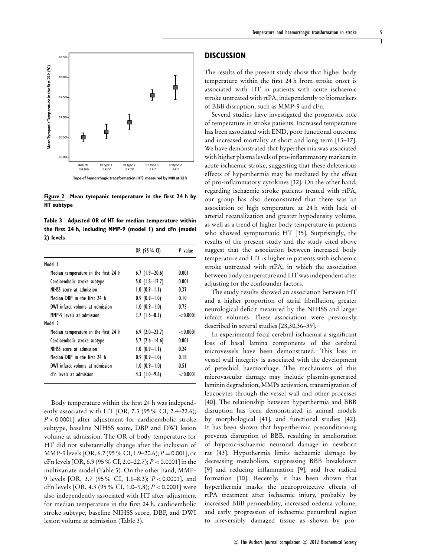<span id="page-4-0"></span>

**Figure 2 Mean tympanic temperature in the first 24 h by HT subtype**

<span id="page-4-1"></span>**Table 3 Adjusted OR of HT for median temperature within the first 24 h, including MMP-9 (model 1) and cFn (model 2) levels**

|                                      | OR (95 % CI)      | P value     |
|--------------------------------------|-------------------|-------------|
| Model I                              |                   |             |
| Median temperature in the first 24 h | $6.7$ (1.9–20.6)  | 0.001       |
| Cardioembolic stroke subtype         | $5.0$ (1.8-12.7)  | 0.001       |
| NIHSS score at admission             | $1.0(0.9-1.1)$    | 0.37        |
| Median DBP in the first 24 h         | $0.9(0.9-1.0)$    | 0.10        |
| DWI infarct volume at admission      | $1.0(0.9-1.0)$    | 0.75        |
| MMP-9 levels at admission            | $3.7(1.6-8.3)$    | ${<}0.0001$ |
| Model 2                              |                   |             |
| Median temperature in the first 24 h | $6.9(2.0-22.7)$   | $<$ 0.000 l |
| Cardioembolic stroke subtype         | $5.7(2.6-14.6)$   | 0.001       |
| NIHSS score at admission             | $1.0 (0.9 - 1.1)$ | 0.24        |
| Median DBP in the first 24 h         | $0.9(0.9-1.0)$    | 0.18        |
| DWI infarct volume at admission      | $1.0(0.9-1.0)$    | 0.51        |
| cEn levels at admission              | 4.3 $(1.0-9.8)$   | ${<}0.0001$ |

Body temperature within the first 24 h was independently associated with HT [OR, 7.3 (95% CI, 2.4–22.6); *P* < 0.0001] after adjustment for cardioembolic stroke subtype, baseline NIHSS score, DBP and DWI lesion volume at admission. The OR of body temperature for HT did not substantially change after the inclusion of MMP-9 levels [OR, 6.7 (95% CI, 1.9–20.6); *P* = 0.001], or cFn levels [OR, 6.9 (95% CI, 2.0–22.7); *P* < 0.0001] in the multivariate model [\(Table 3\)](#page-4-1). On the other hand, MMP-9 levels [OR, 3.7 (95% CI, 1.6–8.3); *P* < 0.0001], and cFn levels [OR, 4.3 (95% CI, 1.0–9.8); *P* < 0.0001] were also independently associated with HT after adjustment for median temperature in the first 24 h, cardioembolic stroke subtype, baseline NIHSS score, DBP, and DWI lesion volume at admission [\(Table 3\)](#page-4-1).

#### **DISCUSSION**

The results of the present study show that higher body temperature within the first 24 h from stroke onset is associated with HT in patients with acute ischaemic stroke untreated with rtPA, independently to biomarkers of BBB disruption, such as MMP-9 and cFn.

Several studies have investigated the prognostic role of temperature in stroke patients. Increased temperature has been associated with END, poor functional outcome and increased mortality at short and long term [13[–17\]](#page-5-8). We have demonstrated that hyperthermia was associated with higher plasma levels of pro-inflammatory markers in acute ischaemic stroke, suggesting that these deleterious effects of hyperthermia may be mediated by the effect of pro-inflammatory cytokines [\[32\]](#page-6-11). On the other hand, regarding ischaemic stroke patients treated with rtPA, our group has also demonstrated that there was an association of high temperature at 24 h with lack of arterial recanalization and greater hypodensity volume, as well as a trend of higher body temperature in patients who showed symptomatic HT [\[35\]](#page-6-14). Surprisingly, the results of the present study and the study cited above suggest that the association between increased body temperature and HT is higher in patients with ischaemic stroke untreated with rtPA, in which the association between body temperature and HT was independent after adjusting for the confounder factors.

The study results showed an association between HT and a higher proportion of atrial fibrillation, greater neurological deficit measured by the NIHSS and larger infarct volumes. These associations were previously described in several studies [\[28,](#page-6-15)[30,](#page-6-9)[36–](#page-6-16)[39\]](#page-6-17).

In experimental focal cerebral ischaemia a significant loss of basal lamina components of the cerebral microvessels have been demonstrated. This loss in vessel wall integrity is associated with the development of petechial haemorrhage. The mechanisms of this microvascular damage may include plasmin-generated laminin degradation, MMPs activation, transmigration of leucocytes through the vessel wall and other processes [\[40\]](#page-6-18). The relationship between hyperthermia and BBB disruption has been demonstrated in animal models by morphological [\[41\]](#page-6-19), and functional studies [\[42\]](#page-6-20). It has been shown that hyperthermic preconditioning prevents disruption of BBB, resulting in amelioration of hypoxic-ischaemic neuronal damage in newborn rat [\[43\]](#page-6-21). Hypothermia limits ischaemic damage by decreasing metabolism, suppressing BBB breakdown [\[9\]](#page-5-5) and reducing inflammation [\[9\]](#page-5-5), and free radical formation [\[10\]](#page-5-6). Recently, it has been shown that hyperthermia masks the neuroprotective effects of rtPA treatment after ischaemic injury, probably by increased BBB permeability, increased oedema volume, and early progression of ischaemic penumbral region to irreversibly damaged tissue as shown by pro-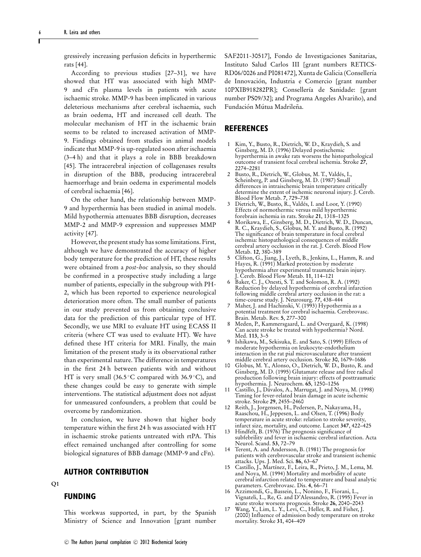gressively increasing perfusion deficits in hyperthermic rats [\[44\]](#page-6-22).

According to previous studies [\[27](#page-6-7)[–31\]](#page-6-10), we have showed that HT was associated with high MMP-9 and cFn plasma levels in patients with acute ischaemic stroke. MMP-9 has been implicated in various deleterious mechanisms after cerebral ischaemia, such as brain oedema, HT and increased cell death. The molecular mechanism of HT in the ischaemic brain seems to be related to increased activation of MMP-9. Findings obtained from studies in animal models indicate that MMP-9 is up-regulated soon after ischaemia (3–4 h) and that it plays a role in BBB breakdown [\[45\]](#page-6-23). The intracerebral injection of collagenases results in disruption of the BBB, producing intracerebral haemorrhage and brain oedema in experimental models of cerebral ischaemia [\[46\]](#page-6-24).

On the other hand, the relationship between MMP-9 and hyperthermia has been studied in animal models. Mild hypothermia attenuates BBB disruption, decreases MMP-2 and MMP-9 expression and suppresses MMP activity [\[47\]](#page-6-25).

However, the present study has some limitations. First, although we have demonstrated the accuracy of higher body temperature for the prediction of HT, these results were obtained from a *post-hoc* analysis, so they should be confirmed in a prospective study including a large number of patients, especially in the subgroup with PH-2, which has been reported to experience neurological deterioration more often. The small number of patients in our study prevented us from obtaining conclusive data for the prediction of this particular type of HT. Secondly, we use MRI to evaluate HT using ECASS II criteria (where CT was used to evaluate HT). We have defined these HT criteria for MRI. Finally, the main limitation of the present study is its observational rather than experimental nature. The difference in temperatures in the first 24 h between patients with and without HT is very small (36.5◦C compared with 36.9 ◦C), and these changes could be easy to generate with simple interventions. The statistical adjustment does not adjust for unmeasured confounders, a problem that could be overcome by randomization.

In conclusion, we have shown that higher body temperature within the first 24 h was associated with HT in ischaemic stroke patients untreated with rtPA. This effect remained unchanged after controlling for some biological signatures of BBB damage (MMP-9 and cFn).

#### **AUTHOR CONTRIBUTION**

#### **Q1**

#### **FUNDING**

This workwas supported, in part, by the Spanish Ministry of Science and Innovation [grant number SAF2011-30517], Fondo de Investigaciones Sanitarias, Instituto Salud Carlos III [grant numbers RETICS-RD06/0026 and PI081472], Xunta de Galicia (Consellería de Innovación, Industria e Comercio [grant number 10PXIB918282PR]; Consellería de Sanidade: [grant number PS09/32]; and Programa Angeles Alvariño), and Fundación Mútua Madrileña.

#### **REFERENCES**

- <span id="page-5-0"></span>1 Kim, Y., Busto, R., Dietrich, W. D., Kraydieh, S. and Ginsberg, M. D. (1996) Delayed postischemic hyperthermia in awake rats worsens the histopathological outcome of transient focal cerebral ischemia. Stroke **27**, 2274–2281
- 2 Busto, R., Dietrich, W., Globus, M. T., Valdés, I., Scheinberg, P. and Ginsberg, M. D. (1987) Small differences in intraischemic brain temperature critically determine the extent of ischemic neuronal injury. J. Cereb. Blood Flow Metab. **7**, 729–738
- 3 Dietrich, W., Busto, R., Valdés, I. and Loor, Y. (1990) Effects of normothermic versus mild hyperthermic forebrain ischemia in rats. Stroke **21**, 1318–1325
- <span id="page-5-1"></span>4 Morikawa, E., Ginsberg, M. D., Dietrich, W. D., Duncan, R. C., Kraydieh, S., Globus, M. Y. and Busto, R. (1992) The significance of brain temperature in focal cerebral ischemia: histopathological consequences of middle cerebral artery occlusion in the rat. J. Cereb. Blood Flow Metab. **12**, 380–389
- <span id="page-5-2"></span>5 Clifton, G., Jiang, J., Lyeth, B., Jenkins, L., Hamm, R. and Hayes, R. (1991) Marked protection by moderate hypothermia after experimental traumatic brain injury. J. Cereb. Blood Flow Metab. **11**, 114–121
- <span id="page-5-4"></span>6 Baker, C. J., Onesti, S. T. and Solomon, R. A. (1992) Reduction by delayed hypothermia of cerebral infarction following middle cerebral artery occlusion in the rat: a time-course study. J. Neurosurg. **77**, 438–444
- 7 Maher, J. and Hachinski, V. (1993) Hypothermia as a potential treatment for cerebral ischaemia. Cerebrovasc. Brain. Metab. Rev. **5**, 277–300
- <span id="page-5-3"></span>8 Meden, P., Kammersgaard, L. and Overgaard, K. (1998) Can acute stroke be treated with hypothermia? Nord. Med. **113**, 3–5
- <span id="page-5-5"></span>9 Ishikawa, M., Sekisuka, E. and Sato, S. (1999) Effects of moderate hypothermia on leukocyte-endothelium interaction in the rat pial microvasculature after transient middle cerebral artery occlusion. Stroke **30**, 1679–1686
- <span id="page-5-6"></span>10 Globus, M. Y., Alonso, O., Dietrich, W. D., Busto, R. and Ginsberg, M. D. (1995) Glutamate release and free radical production following brain injury: effects of posttraumatic hypothermia. J. Neurochem. **65**, 1250–1256
- <span id="page-5-7"></span>11 Castillo, J., Davalos, A., Marrugat, J. and Noya, M. (1998) Timing for fever-related brain damage in acute ischemic stroke. Stroke **29**, 2455–2460
- 12 Reith, J., Jorgensen, H., Pedersen, P., Nakayama, H., Raaschou, H., Jeppesen, L. and Olsen, T. (1996) Body temperature in acute stroke: relation to stroke severity, infarct size, mortality, and outcome. Lancet **347**, 422–425
- 13 Hindfelt, B. (1976) The prognosis significance of subfebrility and fever in ischaemic cerebral infarction. Acta Neurol. Scand. **53**, 72–79
- 14 Terent, A. and Andersson, B. (1981) The prognosis for patients with cerebrovascular stroke and transient ischemic attacks. Ups. J. Med. Sci. **86**, 63–67
- 15 Castillo, J., Mart´ınez, F., Leira, R., Prieto, J. M., Lema, M. and Noya, M. (1994) Mortality and morbidity of acute cerebral infarction related to temperature and basal analytic parameters. Cerebrovasc. Dis. **4**, 66–71
- 16 Azzimondi, G., Bassein, L., Nonino, F., Fiorani, L., Vignateli, L., Re, G. and D'Alessandro, R. (1995) Fever in acute stroke worsens prognosis. Stroke **26**, 2040–2043
- <span id="page-5-8"></span>17 Wang, Y., Lim, L. Y., Levi, C., Heller, R. and Fisher, J. (2000) Influence of admission body temperature on stroke mortality. Stroke **31**, 404–409